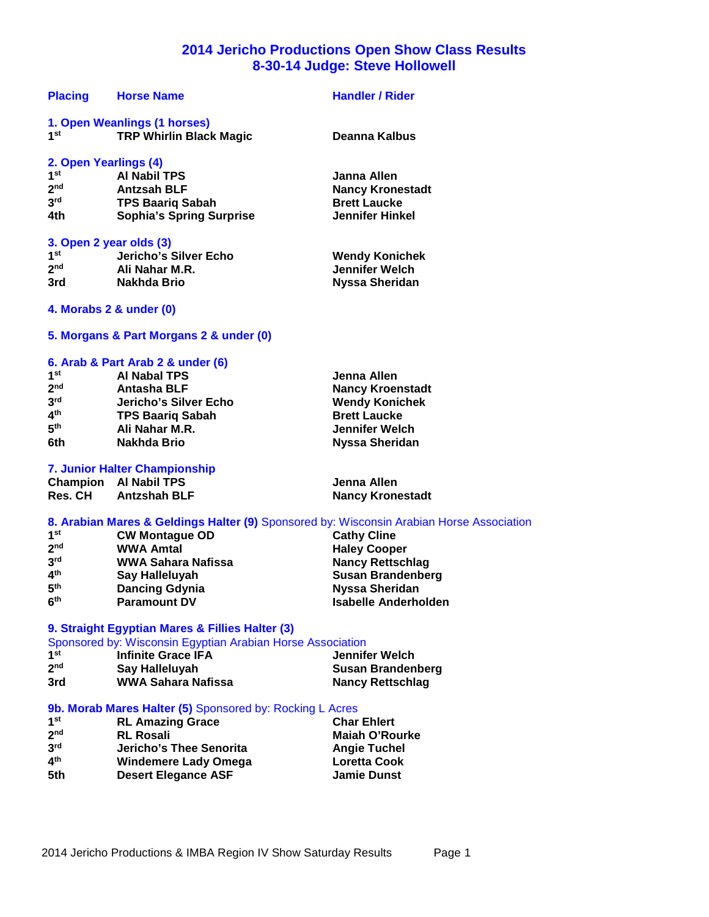# **2014 Jericho Productions Open Show Class Results 8-30-14 Judge: Steve Hollowell**

| <b>Placing</b>  | <b>Horse Name</b>               | <b>Handler / Rider</b>  |
|-----------------|---------------------------------|-------------------------|
|                 | 1. Open Weanlings (1 horses)    |                         |
| 1 <sup>st</sup> | <b>TRP Whirlin Black Magic</b>  | Deanna Kalbus           |
|                 | 2. Open Yearlings (4)           |                         |
| 1 <sup>st</sup> | <b>Al Nabil TPS</b>             | Janna Allen             |
| 2 <sub>nd</sub> | <b>Antzsah BLF</b>              | <b>Nancy Kronestadt</b> |
| 3 <sup>rd</sup> | <b>TPS Baarig Sabah</b>         | <b>Brett Laucke</b>     |
| 4th             | <b>Sophia's Spring Surprise</b> | <b>Jennifer Hinkel</b>  |
|                 | 3. Open 2 year olds (3)         |                         |
| 1 <sup>st</sup> | Jericho's Silver Echo           | <b>Wendy Konichek</b>   |
| 2 <sub>nd</sub> | Ali Nahar M.R.                  | Jennifer Welch          |
| 3rd             | Nakhda Brio                     | <b>Nyssa Sheridan</b>   |
|                 | 4. Morabs 2 & under (0)         |                         |

# **5. Morgans & Part Morgans 2 & under (0)**

# **6. Arab & Part Arab 2 & under (6)**

| 1 <sup>st</sup><br><b>Al Nabal TPS</b><br>Jenna Allen             |  |
|-------------------------------------------------------------------|--|
| 2 <sub>nd</sub><br><b>Antasha BLF</b><br><b>Nancy Kroenstadt</b>  |  |
| 3 <sup>rd</sup><br>Jericho's Silver Echo<br><b>Wendy Konichek</b> |  |
| 4 <sup>th</sup><br><b>TPS Baarig Sabah</b><br><b>Brett Laucke</b> |  |
| 5 <sup>th</sup><br>Jennifer Welch<br>Ali Nahar M.R.               |  |
| 6th<br><b>Nyssa Sheridan</b><br>Nakhda Brio                       |  |

#### **7. Junior Halter Championship**

**Champion Al Nabil TPS Jenna Allen**

**Nancy Kronestadt** 

# **8. Arabian Mares & Geldings Halter (9)** Sponsored by: Wisconsin Arabian Horse Association

| 1 <sup>st</sup> | <b>CW Montague OD</b>     | <b>Cathy Cline</b>       |
|-----------------|---------------------------|--------------------------|
| 2 <sub>nd</sub> | <b>WWA Amtal</b>          | <b>Haley Cooper</b>      |
| 3 <sup>rd</sup> | <b>WWA Sahara Nafissa</b> | <b>Nancy Rettschlag</b>  |
| 4 <sup>th</sup> | Say Halleluyah            | <b>Susan Brandenberg</b> |
| 5 <sup>th</sup> | <b>Dancing Gdynia</b>     | Nyssa Sheridan           |
| 6 <sup>th</sup> | <b>Paramount DV</b>       | Isabelle Anderholden     |

#### **9. Straight Egyptian Mares & Fillies Halter (3)**

| Sponsored by: Wisconsin Egyptian Arabian Horse Association |                           |                   |
|------------------------------------------------------------|---------------------------|-------------------|
| 1 <sup>st</sup>                                            | <b>Infinite Grace IFA</b> | Jennifer Welch    |
| 2 <sub>nd</sub>                                            | Say Halleluyah            | Susan Brandenberg |
| 3rd                                                        | WWA Sahara Nafissa        | Nancy Rettschlag  |

# **9b. Morab Mares Halter (5)** Sponsored by: Rocking L Acres

| 1 <sup>st</sup> | <b>RL Amazing Grace</b>     | <b>Char Ehlert</b>    |
|-----------------|-----------------------------|-----------------------|
| 2 <sup>nd</sup> | <b>RL Rosali</b>            | <b>Maiah O'Rourke</b> |
| 3 <sup>rd</sup> | Jericho's Thee Senorita     | <b>Angie Tuchel</b>   |
| 4 <sup>th</sup> | <b>Windemere Lady Omega</b> | <b>Loretta Cook</b>   |
| 5th             | <b>Desert Elegance ASF</b>  | <b>Jamie Dunst</b>    |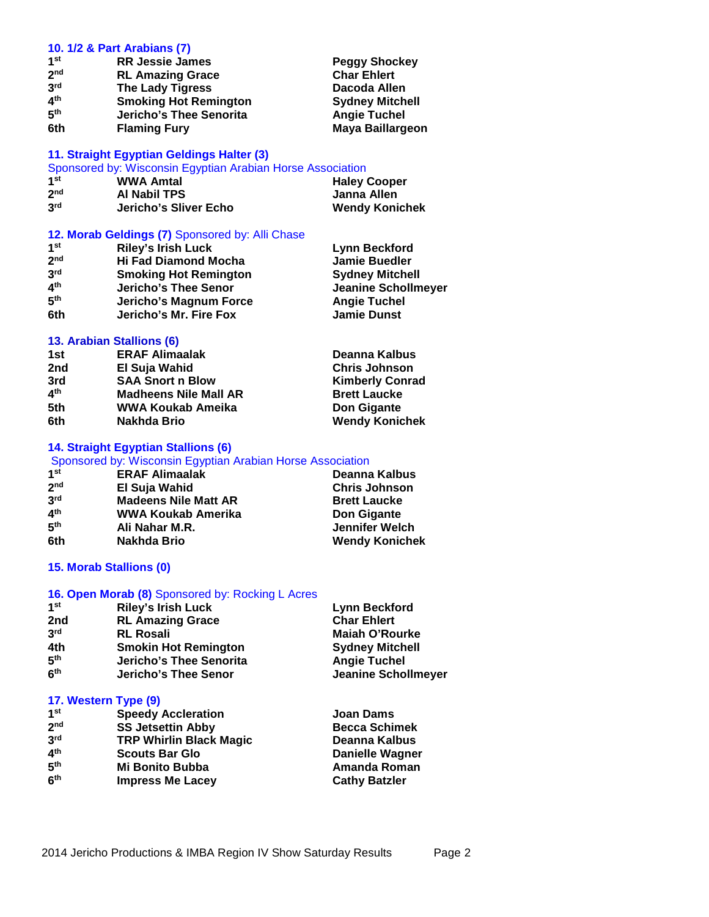#### **10. 1/2 & Part Arabians (7)**

| 1 <sup>st</sup> | <b>RR Jessie James</b>       | <b>Peggy Shockey</b>   |
|-----------------|------------------------------|------------------------|
| 2 <sub>nd</sub> | <b>RL Amazing Grace</b>      | <b>Char Ehlert</b>     |
| 3 <sup>rd</sup> | <b>The Lady Tigress</b>      | Dacoda Allen           |
| 4 <sup>th</sup> | <b>Smoking Hot Remington</b> | <b>Sydney Mitchell</b> |
| 5 <sup>th</sup> | Jericho's Thee Senorita      | <b>Angie Tuchel</b>    |
| 6th             | <b>Flaming Fury</b>          | Maya Baillargeon       |

# **11. Straight Egyptian Geldings Halter (3)**

| Sponsored by: Wisconsin Egyptian Arabian Horse Association |                       |                       |
|------------------------------------------------------------|-----------------------|-----------------------|
| 1 <sup>st</sup><br><b>Haley Cooper</b><br><b>WWA Amtal</b> |                       |                       |
| 2 <sub>nd</sub>                                            | Al Nabil TPS          | Janna Allen           |
| 3 <sup>rd</sup>                                            | Jericho's Sliver Echo | <b>Wendy Konichek</b> |

# **12. Morab Geldings (7)** Sponsored by: Alli Chase

| 1 <sup>st</sup> | <b>Riley's Irish Luck</b>    | <b>Lynn Beckford</b>       |
|-----------------|------------------------------|----------------------------|
| 2 <sub>nd</sub> | <b>Hi Fad Diamond Mocha</b>  | <b>Jamie Buedler</b>       |
| 3 <sup>rd</sup> | <b>Smoking Hot Remington</b> | <b>Sydney Mitchell</b>     |
| 4 <sup>th</sup> | Jericho's Thee Senor         | <b>Jeanine Schollmeyer</b> |
| 5 <sup>th</sup> | Jericho's Magnum Force       | <b>Angie Tuchel</b>        |
| 6th             | Jericho's Mr. Fire Fox       | <b>Jamie Dunst</b>         |
|                 |                              |                            |

# **13. Arabian Stallions (6)**

| 1st             | <b>ERAF Alimaalak</b>        | Deanna Kalbus          |
|-----------------|------------------------------|------------------------|
| 2nd             | El Suja Wahid                | <b>Chris Johnson</b>   |
| 3rd             | <b>SAA Snort n Blow</b>      | <b>Kimberly Conrad</b> |
| 4 <sup>th</sup> | <b>Madheens Nile Mall AR</b> | <b>Brett Laucke</b>    |
| 5th             | WWA Koukab Ameika            | Don Gigante            |
| 6th             | Nakhda Brio                  | <b>Wendy Konichek</b>  |

# **14. Straight Egyptian Stallions (6)**

# Sponsored by: Wisconsin Egyptian Arabian Horse Association

| 1 <sup>st</sup> | <b>ERAF Alimaalak</b>       | Deanna Kalbus         |
|-----------------|-----------------------------|-----------------------|
| 2 <sub>nd</sub> | El Suja Wahid               | <b>Chris Johnson</b>  |
| 3 <sup>rd</sup> | <b>Madeens Nile Matt AR</b> | <b>Brett Laucke</b>   |
| 4 <sup>th</sup> | WWA Koukab Amerika          | Don Gigante           |
| 5 <sup>th</sup> | Ali Nahar M.R.              | <b>Jennifer Welch</b> |
| 6th             | Nakhda Brio                 | <b>Wendy Konichek</b> |

# **15. Morab Stallions (0)**

# **16. Open Morab (8)** Sponsored by: Rocking L Acres

| 1 <sup>st</sup> | <b>Riley's Irish Luck</b>   | <b>Lynn Beckford</b>       |
|-----------------|-----------------------------|----------------------------|
| 2nd             | <b>RL Amazing Grace</b>     | <b>Char Ehlert</b>         |
| 3 <sup>rd</sup> | <b>RL Rosali</b>            | <b>Maiah O'Rourke</b>      |
| 4th             | <b>Smokin Hot Remington</b> | <b>Sydney Mitchell</b>     |
| 5 <sup>th</sup> | Jericho's Thee Senorita     | <b>Angie Tuchel</b>        |
| 6 <sup>th</sup> | Jericho's Thee Senor        | <b>Jeanine Schollmeyer</b> |

# **17. Western Type (9)**

| <b>Speedy Accleration</b>      | <b>Joan Dams</b>       |
|--------------------------------|------------------------|
| <b>SS Jetsettin Abby</b>       | <b>Becca Schimek</b>   |
| <b>TRP Whirlin Black Magic</b> | Deanna Kalbus          |
| <b>Scouts Bar Glo</b>          | <b>Danielle Wagner</b> |
| Mi Bonito Bubba                | Amanda Roman           |
| <b>Impress Me Lacey</b>        | <b>Cathy Batzler</b>   |
|                                |                        |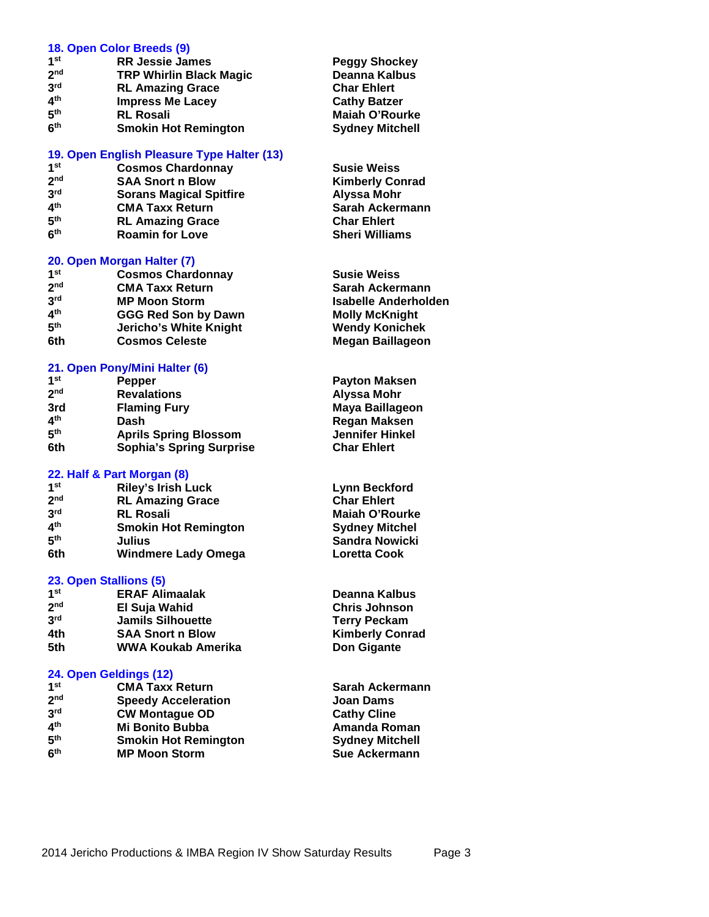#### **18. Open Color Breeds (9)**

| 1 <sup>st</sup> | <b>RR Jessie James</b>         |  |
|-----------------|--------------------------------|--|
| 2 <sub>nd</sub> | <b>TRP Whirlin Black Magic</b> |  |
| 3 <sup>rd</sup> | <b>RL Amazing Grace</b>        |  |
| 4 <sup>th</sup> | <b>Impress Me Lacey</b>        |  |
| 5 <sup>th</sup> | <b>RL Rosali</b>               |  |
| 6 <sup>th</sup> | <b>Smokin Hot Remington</b>    |  |

## **19. Open English Pleasure Type Halter (13)**

- **1**
- **2 3**
- **4**
- **CMA Taxx Return 5**
- **6 Roamin for Love**

#### **20. Open Morgan Halter (7)**

**1 Cosmos Chardonnay 2 CMA Taxx Return 3 MP Moon Storm 4 GGG Red Son by Dawn** 5<sup>th</sup><br>6th **Jericho's White Knight**  $$ 

#### **21. Open Pony/Mini Halter (6)**

| 1 <sup>st</sup> | Pepper                          |  |
|-----------------|---------------------------------|--|
| 2 <sub>nd</sub> | <b>Revalations</b>              |  |
| 3rd             | <b>Flaming Fury</b>             |  |
| 4 <sup>th</sup> | Dash                            |  |
| 5 <sup>th</sup> | <b>Aprils Spring Blossom</b>    |  |
| 6th             | <b>Sophia's Spring Surprise</b> |  |

#### **22. Half & Part Morgan (8)**

| 1st                      | <b>Riley's Irish Luck</b>   |
|--------------------------|-----------------------------|
| 2 <sub>nd</sub>          | <b>RL Amazing Grace</b>     |
| 3 <sup>rd</sup>          | <b>RL Rosali</b>            |
| $\mathbf{A}^{\text{th}}$ | <b>Smokin Hot Remington</b> |
| 5 <sup>th</sup>          | Julius                      |
| 6th                      | <b>Windmere Lady Omega</b>  |

#### **23. Open Stallions (5)**

| 1 <sup>st</sup> | <b>ERAF Alimaalak</b>    |
|-----------------|--------------------------|
| 2 <sub>nd</sub> | El Suja Wahid            |
| 3 <sup>rd</sup> | <b>Jamils Silhouette</b> |
| 4th             | <b>SAA Snort n Blow</b>  |
| 5th             | WWA Koukab Amerika       |

#### **24. Open Geldings (12)**

| 1st             | <b>CMA Taxx Return</b>      |
|-----------------|-----------------------------|
| 2 <sub>nd</sub> | <b>Speedy Acceleration</b>  |
| 3 <sup>rd</sup> | <b>CW Montague OD</b>       |
| 4 <sup>th</sup> | <b>Mi Bonito Bubba</b>      |
| 5 <sup>th</sup> | <b>Smokin Hot Remington</b> |
| 6 <sup>th</sup> | <b>MP Moon Storm</b>        |
|                 |                             |

**Reggy Shockey Deanna Kalbus Char Ehlert Cathy Batzer Maiah O'Rourke Sydney Mitchell** 

**Susie Weiss Cosmos Chardonnay 6.1 Susie Weiss SAA Snort n Blow**<br> **SAA Snort n Blow 6.2 Secure 2.5 SAA Snort n Blow nda** SAA Snort n Blow<br> **nda** Sorans Magical Spitfire<br> **nda Kimberly Contract Alyssa Mohr rd Sorans Magical Spitfire Alyssa Mohr the RL Amazing Grace Char Ehlert**<br> **Roamin for Love Charging Char Ehlert**<br> **Char Ehlert**<br> **Char Ehlert** 

| Susie Weiss                 |
|-----------------------------|
| Sarah Ackermann             |
| <b>Isabelle Anderholden</b> |
| Molly McKnight              |
| <b>Wendy Konichek</b>       |
| Megan Baillageon            |

**Payton Maksen nd Revalations Alyssa Mohr 3rd Flaming Fury Maya Baillageon th Dash Regan Maksen Jennifer Hinkel Char Ehlert** 

**Lynn Beckford Char Ehlert Maiah O'Rourke Sydney Mitchel Sandra Nowicki Loretta Cook** 

**Deanna Kalbus Chris Johnson Terry Peckam Kimberly Conrad Don Gigante** 

**Sarah Ackermann Joan Dams Cathy Cline Amanda Roman Sydney Mitchell Sue Ackermann**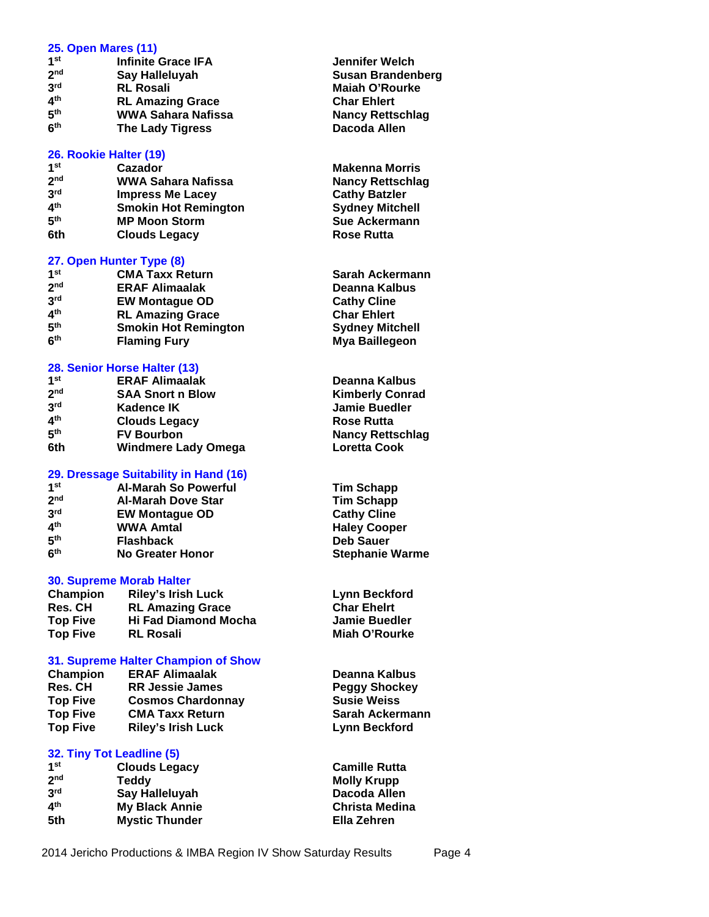#### **25. Open Mares (11)**

| 1 <sub>st</sub>          | <b>Infinite Grace IFA</b> |
|--------------------------|---------------------------|
| 2 <sub>nd</sub>          | Say Halleluyah            |
| 3 <sup>rd</sup>          | <b>RL Rosali</b>          |
| $\mathbf{A}^{\text{th}}$ | <b>RL Amazing Grace</b>   |
| 5 <sup>th</sup>          | <b>WWA Sahara Nafissa</b> |
| 6 <sup>th</sup>          | <b>The Lady Tigress</b>   |

#### **26. Rookie Halter (19)**

| 1 <sub>st</sub> | Cazador                     |
|-----------------|-----------------------------|
| 2 <sub>nd</sub> | WWA Sahara Nafissa          |
| 3rd             | <b>Impress Me Lacey</b>     |
| 4 <sup>th</sup> | <b>Smokin Hot Remington</b> |
| 5 <sup>th</sup> | <b>MP Moon Storm</b>        |
| 6th             | <b>Clouds Legacy</b>        |

#### **27. Open Hunter Type (8)**

| 1 <sup>st</sup> | <b>CMA Taxx Return</b>      | Sarah Ackermann        |
|-----------------|-----------------------------|------------------------|
| 2 <sub>nd</sub> | <b>ERAF Alimaalak</b>       | Deanna Kalbus          |
| 3 <sup>rd</sup> | <b>EW Montague OD</b>       | <b>Cathy Cline</b>     |
| 4 <sup>th</sup> | <b>RL Amazing Grace</b>     | <b>Char Ehlert</b>     |
| 5 <sup>th</sup> | <b>Smokin Hot Remington</b> | <b>Sydney Mitchell</b> |
| 6 <sup>th</sup> | <b>Flaming Fury</b>         | Mya Baillegeon         |

#### **28. Senior Horse Halter (13)**

| 1 <sup>st</sup> | <b>ERAF Alimaalak</b>      | Deanna Kalbus           |
|-----------------|----------------------------|-------------------------|
| 2 <sub>nd</sub> | <b>SAA Snort n Blow</b>    | <b>Kimberly Conrad</b>  |
| 3 <sup>rd</sup> | Kadence IK                 | <b>Jamie Buedler</b>    |
| 4 <sup>th</sup> | <b>Clouds Legacy</b>       | <b>Rose Rutta</b>       |
| 5 <sup>th</sup> | <b>FV Bourbon</b>          | <b>Nancy Rettschlag</b> |
| 6th             | <b>Windmere Lady Omega</b> | <b>Loretta Cook</b>     |

#### **29. Dressage Suitability in Hand (16)**

| 1 <sub>st</sub>          | Al-Marah So Powerfu       |
|--------------------------|---------------------------|
| 2 <sub>nd</sub>          | <b>Al-Marah Dove Star</b> |
| 3 <sup>rd</sup>          | <b>EW Montague OD</b>     |
| $\mathbf{A}^{\text{th}}$ | <b>WWA Amtal</b>          |
| 5 <sup>th</sup>          | <b>Flashback</b>          |
| 6 <sup>th</sup>          | <b>No Greater Honor</b>   |
|                          |                           |

#### **30. Supreme Morab Halter**

| Champion        | <b>Riley's Irish Luck</b>   |
|-----------------|-----------------------------|
| <b>Res. CH</b>  | <b>RL Amazing Grace</b>     |
| <b>Top Five</b> | <b>Hi Fad Diamond Mocha</b> |
| <b>Top Five</b> | <b>RL Rosali</b>            |

# **31. Supreme Halter Champion of Show**

| Champion        | <b>ERAF Alimaalak</b>     |
|-----------------|---------------------------|
| Res. CH         | <b>RR Jessie James</b>    |
| <b>Top Five</b> | <b>Cosmos Chardonnay</b>  |
| <b>Top Five</b> | <b>CMA Taxx Return</b>    |
| <b>Top Five</b> | <b>Riley's Irish Luck</b> |

## **32. Tiny Tot Leadline (5)**

| 1st             | <b>Clouds Legacy</b>  |
|-----------------|-----------------------|
| 2 <sub>nd</sub> | Teddy                 |
| 3 <sup>rd</sup> | Say Halleluyah        |
| ⊿th             | <b>My Black Annie</b> |
| 5th             | <b>Mystic Thunder</b> |

**Jennifer Welch Susan Brandenberg Maiah O'Rourke Char Ehlert Nancy Rettschlag Dacoda Allen** 

**Makenna Morris Nancy Rettschlag Cathy Batzler Sydney Mitchell Sue Ackermann Rose Rutta** 

| <b>Sarah Ackermann</b> |
|------------------------|
| Deanna Kalbus          |
| <b>Cathy Cline</b>     |
| <b>Char Ehlert</b>     |
| <b>Sydney Mitchell</b> |
| Mya Baillegeon         |

| Deanna Kalbus           |
|-------------------------|
| <b>Kimberly Conrad</b>  |
| <b>Jamie Buedler</b>    |
| <b>Rose Rutta</b>       |
| <b>Nancy Rettschlag</b> |
| <b>Loretta Cook</b>     |

**st Al-Marah So Powerful Tim Schapp Tim Schapp Cathy Cline Haley Cooper Deb Sauer Stephanie Warme** 

> **Lynn Beckford Char Ehelrt Jamie Buedler Miah O'Rourke**

**Deanna Kalbus Reggy Shockey Top Five Cosmos Chardonnay Susie Weiss Sarah Ackermann Lynn Beckford** 

**Camille Rutta Molly Krupp Dacoda Allen Christa Medina Ella Zehren**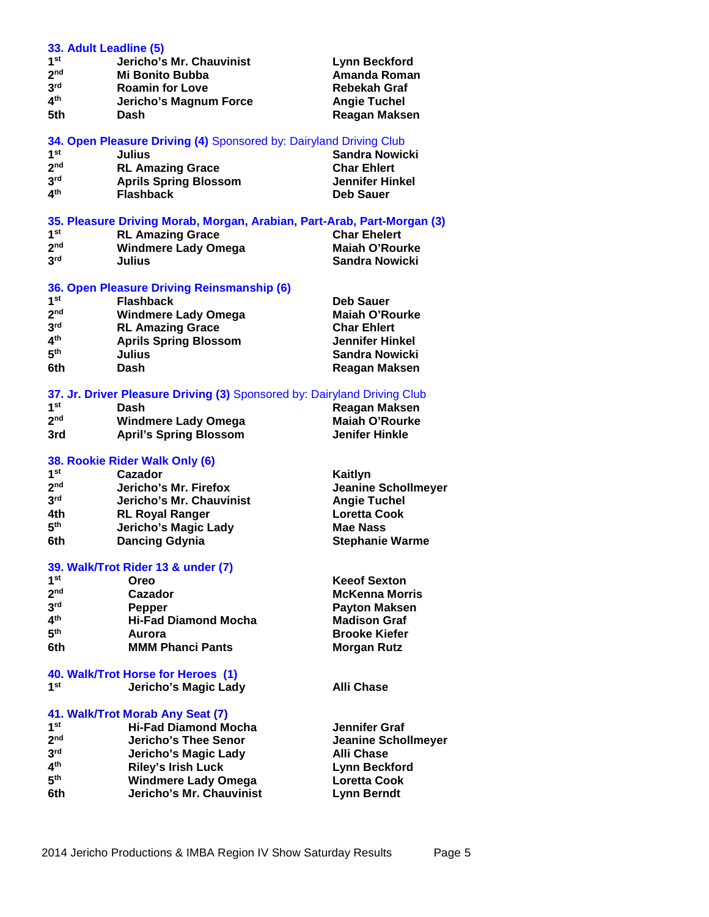| 1 <sup>st</sup> | Jericho's Mr. Chauvinist                                                | Lynn Beckford          |
|-----------------|-------------------------------------------------------------------------|------------------------|
| 2 <sub>nd</sub> | Mi Bonito Bubba                                                         | Amanda Roman           |
| 3 <sup>rd</sup> | <b>Roamin for Love</b>                                                  | <b>Rebekah Graf</b>    |
| 4 <sup>th</sup> | Jericho's Magnum Force                                                  | <b>Angie Tuchel</b>    |
| 5th             | Dash                                                                    | Reagan Maksen          |
|                 | 34. Open Pleasure Driving (4) Sponsored by: Dairyland Driving Club      |                        |
| 1 <sup>st</sup> | Julius                                                                  | Sandra Nowicki         |
| 2 <sub>nd</sub> | <b>RL Amazing Grace</b>                                                 | <b>Char Ehlert</b>     |
| 3 <sup>rd</sup> | <b>Aprils Spring Blossom</b>                                            | <b>Jennifer Hinkel</b> |
| 4 <sup>th</sup> | <b>Flashback</b>                                                        | Deb Sauer              |
|                 | 35. Pleasure Driving Morab, Morgan, Arabian, Part-Arab, Part-Morgan (3) |                        |
| 1 <sup>st</sup> | <b>RL Amazing Grace</b>                                                 | <b>Char Ehelert</b>    |
| 2 <sub>nd</sub> | <b>Windmere Lady Omega</b>                                              | <b>Maiah O'Rourke</b>  |
| 3 <sup>rd</sup> | <b>Julius</b>                                                           | <b>Sandra Nowicki</b>  |
|                 |                                                                         |                        |

# **36. Open Pleasure Driving Reinsmanship (6)**

| <b>Flashback</b>             | <b>Deb Sauer</b>      |
|------------------------------|-----------------------|
| <b>Windmere Lady Omega</b>   | <b>Maiah O'Rourke</b> |
| <b>RL Amazing Grace</b>      | <b>Char Ehlert</b>    |
| <b>Aprils Spring Blossom</b> | Jennifer Hinkel       |
| Julius                       | Sandra Nowicki        |
| Dash                         | Reagan Maksen         |
|                              |                       |

# **37. Jr. Driver Pleasure Driving (3)** Sponsored by: Dairyland Driving Club

| 1 <sup>st</sup> | Dash                          | Reagan Maksen  |
|-----------------|-------------------------------|----------------|
| 2 <sub>nd</sub> | <b>Windmere Lady Omega</b>    | Maiah O'Rourke |
| 3rd             | <b>April's Spring Blossom</b> | Jenifer Hinkle |

# **38. Rookie Rider Walk Only (6)**

**33. Adult Leadline (5)**

| Cazador                  | Kaitlyn                    |
|--------------------------|----------------------------|
| Jericho's Mr. Firefox    | <b>Jeanine Schollmeyer</b> |
| Jericho's Mr. Chauvinist | <b>Angie Tuchel</b>        |
| <b>RL Royal Ranger</b>   | <b>Loretta Cook</b>        |
| Jericho's Magic Lady     | Mae Nass                   |
| <b>Dancing Gdynia</b>    | <b>Stephanie Warme</b>     |
|                          |                            |

# **39. Walk/Trot Rider 13 & under (7)**

| 1st             | Oreo                        |
|-----------------|-----------------------------|
| 2 <sub>nd</sub> | Cazador                     |
| 3 <sup>rd</sup> | <b>Pepper</b>               |
| $4^{\text{th}}$ | <b>Hi-Fad Diamond Mocha</b> |
| $5^{\sf th}$    | Aurora                      |
| 6th             | <b>MMM Phanci Pants</b>     |
|                 |                             |

# **40. Walk/Trot Horse for Heroes (1)**

| 1st |  | Jericho's Magic Lady |
|-----|--|----------------------|
|-----|--|----------------------|

## **41. Walk/Trot Morab Any Seat (7)**

| 1 <sub>st</sub> | <b>Hi-Fad Diamond Mocha</b> |
|-----------------|-----------------------------|
| 2 <sub>nd</sub> | <b>Jericho's Thee Senor</b> |
| 3 <sup>rd</sup> | Jericho's Magic Lady        |
| ⊿th             | <b>Riley's Irish Luck</b>   |
| 5 <sup>th</sup> | <b>Windmere Lady Omega</b>  |
| 6th             | Jericho's Mr. Chauvinist    |

**Keeof Sexton McKenna Morris Payton Maksen Madison Graf th Aurora Brooke Kiefer Morgan Rutz** 

**Alli Chase** 

**Jennifer Graf Jeanine Schollmeyer Alli Chase Lynn Beckford Loretta Cook Lynn Berndt**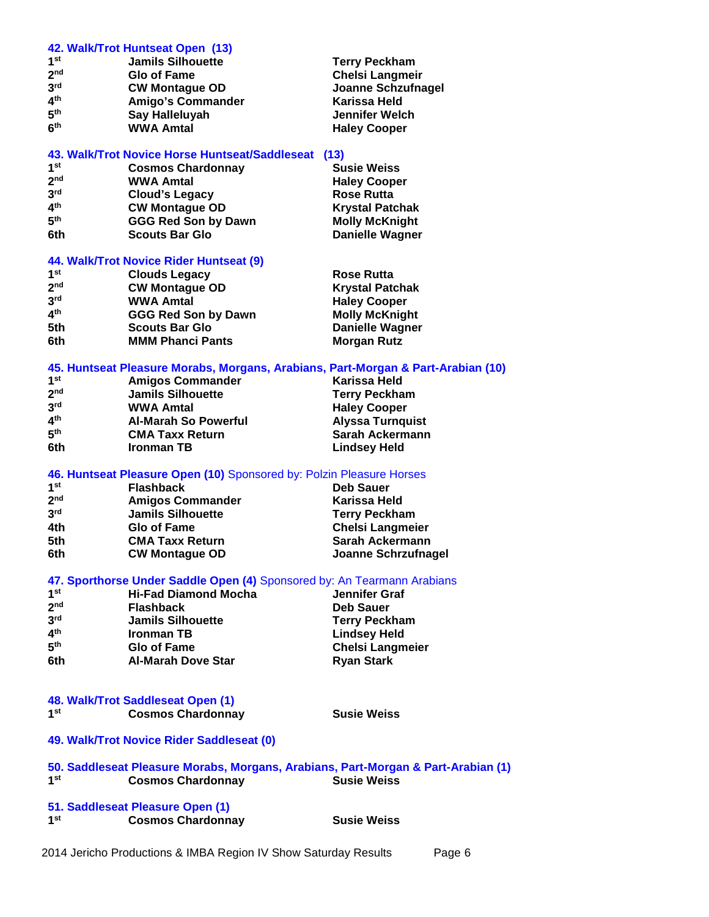#### **42. Walk/Trot Huntseat Open (13)**

| <b>Jamils Silhouette</b> | <b>Terry Peckham</b>   |  |
|--------------------------|------------------------|--|
| <b>Glo of Fame</b>       | <b>Chelsi Langmeir</b> |  |
| <b>CW Montague OD</b>    | Joanne Schzufnagel     |  |
| Amigo's Commander        | Karissa Held           |  |
| Say Halleluyah           | Jennifer Welch         |  |
| <b>WWA Amtal</b>         | <b>Haley Cooper</b>    |  |
|                          |                        |  |

# **43. Walk/Trot Novice Horse Huntseat/Saddleseat (13)**

| 1 <sup>st</sup> | <b>Cosmos Chardonnay</b>   | <b>Susie Weiss</b>     |  |
|-----------------|----------------------------|------------------------|--|
| 2 <sub>nd</sub> | <b>WWA Amtal</b>           | <b>Haley Cooper</b>    |  |
| 3 <sup>rd</sup> | <b>Cloud's Legacy</b>      | <b>Rose Rutta</b>      |  |
| 4 <sup>th</sup> | <b>CW Montague OD</b>      | <b>Krystal Patchak</b> |  |
| 5 <sup>th</sup> | <b>GGG Red Son by Dawn</b> | <b>Molly McKnight</b>  |  |
| 6th             | <b>Scouts Bar Glo</b>      | <b>Danielle Wagner</b> |  |
|                 |                            |                        |  |

# **44. Walk/Trot Novice Rider Huntseat (9)**

| 1 <sup>st</sup> | <b>Clouds Legacy</b>       | <b>Rose Rutta</b>      |  |
|-----------------|----------------------------|------------------------|--|
| 2 <sub>nd</sub> | <b>CW Montague OD</b>      | <b>Krystal Patchak</b> |  |
| 3 <sup>rd</sup> | <b>WWA Amtal</b>           | <b>Haley Cooper</b>    |  |
| 4 <sup>th</sup> | <b>GGG Red Son by Dawn</b> | <b>Molly McKnight</b>  |  |
| 5th             | <b>Scouts Bar Glo</b>      | <b>Danielle Wagner</b> |  |
| 6th             | <b>MMM Phanci Pants</b>    | <b>Morgan Rutz</b>     |  |
|                 |                            |                        |  |

# **45. Huntseat Pleasure Morabs, Morgans, Arabians, Part-Morgan & Part-Arabian (10)**

| 1 <sup>st</sup> | <b>Amigos Commander</b>     | Karissa Held            |  |
|-----------------|-----------------------------|-------------------------|--|
| 2 <sub>nd</sub> | <b>Jamils Silhouette</b>    | <b>Terry Peckham</b>    |  |
| 3 <sup>rd</sup> | <b>WWA Amtal</b>            | <b>Haley Cooper</b>     |  |
| 4 <sup>th</sup> | <b>Al-Marah So Powerful</b> | <b>Alyssa Turnquist</b> |  |
| 5 <sup>th</sup> | <b>CMA Taxx Return</b>      | Sarah Ackermann         |  |
| 6th             | <b>Ironman TB</b>           | <b>Lindsey Held</b>     |  |

# **46. Huntseat Pleasure Open (10)** Sponsored by: Polzin Pleasure Horses

| 1 <sup>st</sup> | <b>Flashback</b>         | <b>Deb Sauer</b>        |
|-----------------|--------------------------|-------------------------|
| 2 <sub>nd</sub> | <b>Amigos Commander</b>  | <b>Karissa Held</b>     |
| 3 <sup>rd</sup> | <b>Jamils Silhouette</b> | <b>Terry Peckham</b>    |
| 4th             | <b>Glo of Fame</b>       | <b>Chelsi Langmeier</b> |
| 5th             | <b>CMA Taxx Return</b>   | Sarah Ackermann         |
| 6th             | <b>CW Montague OD</b>    | Joanne Schrzufnagel     |

# **47. Sporthorse Under Saddle Open (4)** Sponsored by: An Tearmann Arabians

| 1 <sup>st</sup> | <b>Hi-Fad Diamond Mocha</b> | Jennifer Graf           |  |
|-----------------|-----------------------------|-------------------------|--|
| 2 <sub>nd</sub> | <b>Flashback</b>            | <b>Deb Sauer</b>        |  |
| 3 <sup>rd</sup> | <b>Jamils Silhouette</b>    | <b>Terry Peckham</b>    |  |
| ⊿th             | <b>Ironman TB</b>           | <b>Lindsey Held</b>     |  |
| 5 <sup>th</sup> | <b>Glo of Fame</b>          | <b>Chelsi Langmeier</b> |  |
| 6th             | <b>Al-Marah Dove Star</b>   | <b>Ryan Stark</b>       |  |

# **48. Walk/Trot Saddleseat Open (1)**

| <b>Cosmos Chardonnay</b> |
|--------------------------|
|                          |

**Susie Weiss** 

# **49. Walk/Trot Novice Rider Saddleseat (0)**

#### **50. Saddleseat Pleasure Morabs, Morgans, Arabians, Part-Morgan & Part-Arabian (1) 1 Cosmos Chardonnay**

# **51. Saddleseat Pleasure Open (1)**

**1 Cosmos Chardonnay Susie Weiss**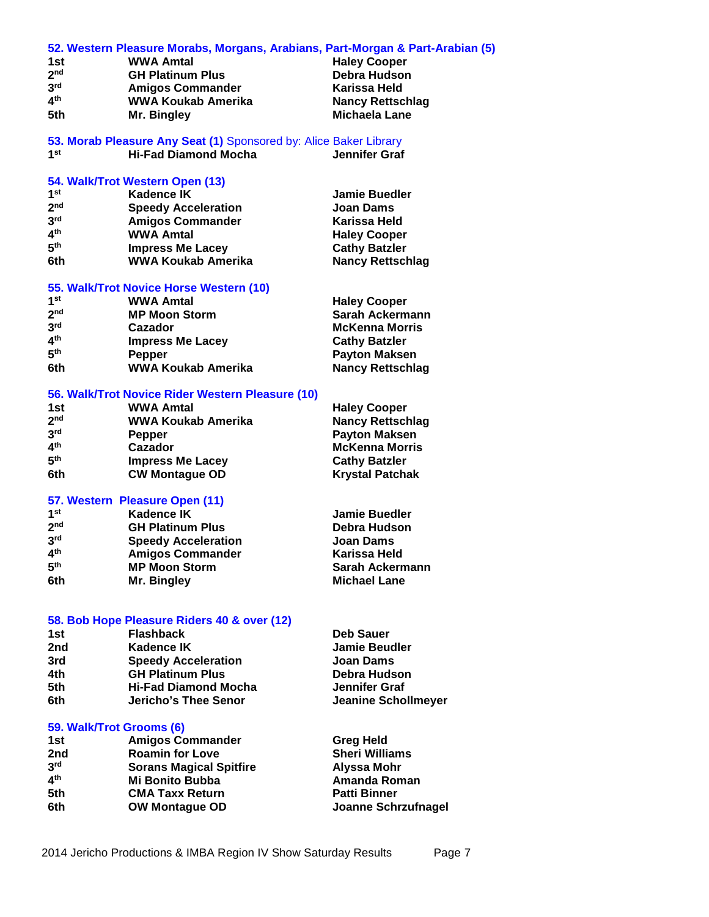|                          | 52. Western Pleasure Morabs, Morgans, Arabians, Part-Morgan & Part-Arabian (5) |                            |
|--------------------------|--------------------------------------------------------------------------------|----------------------------|
| 1st                      | <b>WWA Amtal</b>                                                               | <b>Haley Cooper</b>        |
| 2 <sup>nd</sup>          | <b>GH Platinum Plus</b>                                                        | Debra Hudson               |
| 3 <sup>rd</sup>          | <b>Amigos Commander</b>                                                        | Karissa Held               |
| 4 <sup>th</sup>          | WWA Koukab Amerika                                                             | <b>Nancy Rettschlag</b>    |
| 5th                      | Mr. Bingley                                                                    | <b>Michaela Lane</b>       |
|                          |                                                                                |                            |
|                          | 53. Morab Pleasure Any Seat (1) Sponsored by: Alice Baker Library              |                            |
| 1 <sup>st</sup>          | <b>Hi-Fad Diamond Mocha</b>                                                    | Jennifer Graf              |
|                          |                                                                                |                            |
|                          | 54. Walk/Trot Western Open (13)                                                |                            |
| 1 <sup>st</sup>          | <b>Kadence IK</b>                                                              | <b>Jamie Buedler</b>       |
| 2 <sub>nd</sub>          | <b>Speedy Acceleration</b>                                                     | <b>Joan Dams</b>           |
| 3 <sup>rd</sup>          | <b>Amigos Commander</b>                                                        | Karissa Held               |
| 4 <sup>th</sup>          | <b>WWA Amtal</b>                                                               | <b>Haley Cooper</b>        |
| 5 <sup>th</sup>          | <b>Impress Me Lacey</b>                                                        | <b>Cathy Batzler</b>       |
| 6th                      | <b>WWA Koukab Amerika</b>                                                      | <b>Nancy Rettschlag</b>    |
|                          |                                                                                |                            |
|                          | 55. Walk/Trot Novice Horse Western (10)                                        |                            |
| 1 <sup>st</sup>          | <b>WWA Amtal</b>                                                               | <b>Haley Cooper</b>        |
| 2 <sup>nd</sup>          | <b>MP Moon Storm</b>                                                           | Sarah Ackermann            |
| 3 <sup>rd</sup>          | Cazador                                                                        | <b>McKenna Morris</b>      |
| 4 <sup>th</sup>          | <b>Impress Me Lacey</b>                                                        | <b>Cathy Batzler</b>       |
| 5 <sup>th</sup>          | Pepper                                                                         | <b>Payton Maksen</b>       |
| 6th                      | <b>WWA Koukab Amerika</b>                                                      | <b>Nancy Rettschlag</b>    |
|                          |                                                                                |                            |
|                          | 56. Walk/Trot Novice Rider Western Pleasure (10)                               |                            |
| 1st                      | <b>WWA Amtal</b>                                                               | <b>Haley Cooper</b>        |
| 2 <sub>nd</sub>          | <b>WWA Koukab Amerika</b>                                                      | <b>Nancy Rettschlag</b>    |
| 3 <sup>rd</sup>          | <b>Pepper</b>                                                                  | <b>Payton Maksen</b>       |
| 4 <sup>th</sup>          | Cazador                                                                        | <b>McKenna Morris</b>      |
| 5 <sup>th</sup>          | <b>Impress Me Lacey</b>                                                        | <b>Cathy Batzler</b>       |
| 6th                      | <b>CW Montague OD</b>                                                          | <b>Krystal Patchak</b>     |
|                          |                                                                                |                            |
|                          | 57. Western Pleasure Open (11)                                                 |                            |
| 1 <sup>st</sup>          | <b>Kadence IK</b>                                                              | <b>Jamie Buedler</b>       |
| 2 <sub>nd</sub>          | <b>GH Platinum Plus</b>                                                        | Debra Hudson               |
| 3 <sup>rd</sup>          | <b>Speedy Acceleration</b>                                                     | <b>Joan Dams</b>           |
| 4 <sup>th</sup>          | <b>Amigos Commander</b>                                                        | Karissa Held               |
| 5 <sup>th</sup>          | <b>MP Moon Storm</b>                                                           | <b>Sarah Ackermann</b>     |
| 6th.                     | Mr. Bingley                                                                    | <b>Michael Lane</b>        |
|                          |                                                                                |                            |
|                          |                                                                                |                            |
| 1st                      | 58. Bob Hope Pleasure Riders 40 & over (12)<br><b>Flashback</b>                | <b>Deb Sauer</b>           |
|                          |                                                                                |                            |
| 2nd                      | <b>Kadence IK</b>                                                              | <b>Jamie Beudler</b>       |
| 3rd                      | <b>Speedy Acceleration</b>                                                     | <b>Joan Dams</b>           |
| 4th                      | <b>GH Platinum Plus</b>                                                        | Debra Hudson               |
| 5th                      | <b>Hi-Fad Diamond Mocha</b>                                                    | <b>Jennifer Graf</b>       |
| 6th                      | <b>Jericho's Thee Senor</b>                                                    | <b>Jeanine Schollmeyer</b> |
|                          |                                                                                |                            |
| 59. Walk/Trot Grooms (6) |                                                                                |                            |
| 1st                      | <b>Amigos Commander</b>                                                        | <b>Greg Held</b>           |
| 2nd                      | <b>Roamin for Love</b>                                                         | <b>Sheri Williams</b>      |
| 2rd                      | Carane Magical Cniffire                                                        | Alveen Mahr                |

**3 rd Sorans Magical Spitfire Alyssa Mohr 4 th Mi Bonito Bubba Amanda Roman 5th CMA Taxx Return**<br>**6th OW Montague OD** 

**Joanne Schrzufnagel**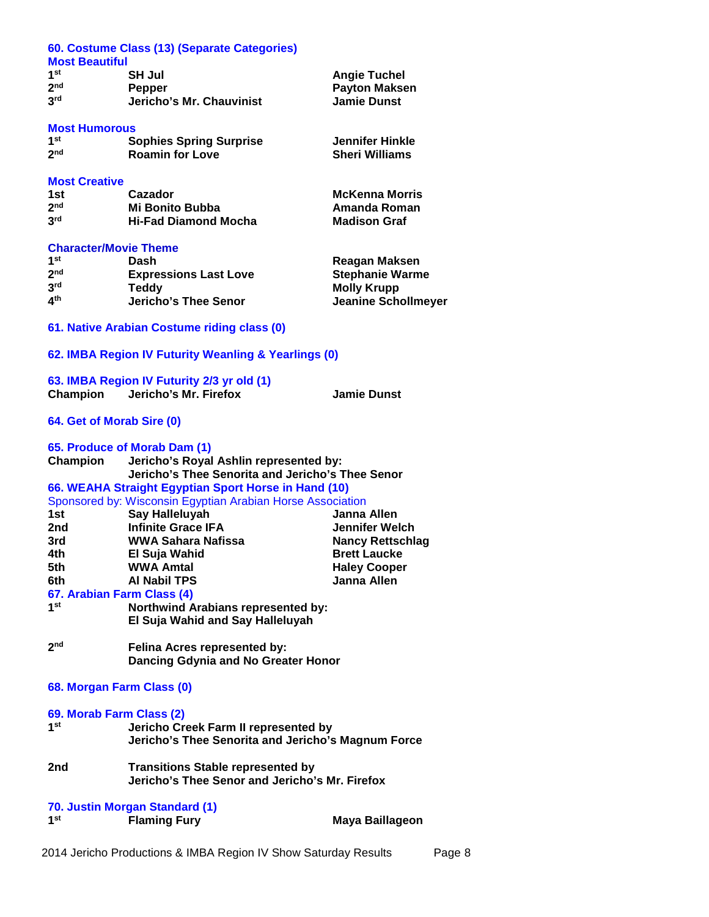|                              | 60. Costume Class (13) (Separate Categories)               |                            |
|------------------------------|------------------------------------------------------------|----------------------------|
| <b>Most Beautiful</b>        |                                                            |                            |
| 1 <sup>st</sup>              | <b>SH Jul</b>                                              | <b>Angie Tuchel</b>        |
| 2 <sup>nd</sup>              | Pepper                                                     | <b>Payton Maksen</b>       |
| 3 <sup>rd</sup>              | Jericho's Mr. Chauvinist                                   | <b>Jamie Dunst</b>         |
|                              |                                                            |                            |
| <b>Most Humorous</b>         |                                                            |                            |
| 1 <sup>st</sup>              |                                                            | <b>Jennifer Hinkle</b>     |
| 2 <sub>nd</sub>              | <b>Sophies Spring Surprise</b><br><b>Roamin for Love</b>   | <b>Sheri Williams</b>      |
|                              |                                                            |                            |
|                              |                                                            |                            |
| <b>Most Creative</b>         |                                                            |                            |
| 1st l<br>2 <sup>nd</sup>     | Cazador                                                    | <b>McKenna Morris</b>      |
|                              | <b>Mi Bonito Bubba</b>                                     | <b>Amanda Roman</b>        |
| 3 <sup>rd</sup>              | <b>Hi-Fad Diamond Mocha</b>                                | <b>Madison Graf</b>        |
|                              |                                                            |                            |
| <b>Character/Movie Theme</b> |                                                            |                            |
| 1 <sup>st</sup>              | Dash                                                       | Reagan Maksen              |
| 2 <sup>nd</sup>              | <b>Expressions Last Love</b>                               | <b>Stephanie Warme</b>     |
| 3 <sup>rd</sup>              | <b>Teddy</b>                                               | <b>Molly Krupp</b>         |
| 4 <sup>th</sup>              | <b>Jericho's Thee Senor</b>                                | <b>Jeanine Schollmeyer</b> |
|                              |                                                            |                            |
|                              | 61. Native Arabian Costume riding class (0)                |                            |
|                              |                                                            |                            |
|                              | 62. IMBA Region IV Futurity Weanling & Yearlings (0)       |                            |
|                              |                                                            |                            |
|                              | 63. IMBA Region IV Futurity 2/3 yr old (1)                 |                            |
| Champion                     | Jericho's Mr. Firefox                                      | <b>Jamie Dunst</b>         |
|                              |                                                            |                            |
| 64. Get of Morab Sire (0)    |                                                            |                            |
|                              |                                                            |                            |
|                              | 65. Produce of Morab Dam (1)                               |                            |
| Champion                     | Jericho's Royal Ashlin represented by:                     |                            |
|                              |                                                            |                            |
|                              | Jericho's Thee Senorita and Jericho's Thee Senor           |                            |
|                              |                                                            |                            |
|                              | 66. WEAHA Straight Egyptian Sport Horse in Hand (10)       |                            |
| 1st                          | Sponsored by: Wisconsin Egyptian Arabian Horse Association | Janna Allen                |
| 2nd                          | Say Halleluyah                                             |                            |
|                              | <b>Infinite Grace IFA</b>                                  | <b>Jennifer Welch</b>      |
| 3rd                          | <b>WWA Sahara Nafissa</b>                                  | <b>Nancy Rettschlag</b>    |
| 4th                          | El Suja Wahid                                              | <b>Brett Laucke</b>        |
| 5th                          | <b>WWA Amtal</b>                                           | <b>Haley Cooper</b>        |
| 6th                          | <b>Al Nabil TPS</b>                                        | <b>Janna Allen</b>         |
|                              | 67. Arabian Farm Class (4)                                 |                            |
| 1 <sup>st</sup>              | <b>Northwind Arabians represented by:</b>                  |                            |
|                              | El Suja Wahid and Say Halleluyah                           |                            |
|                              |                                                            |                            |
| 2 <sub>nd</sub>              | Felina Acres represented by:                               |                            |
|                              | Dancing Gdynia and No Greater Honor                        |                            |
|                              |                                                            |                            |
|                              | 68. Morgan Farm Class (0)                                  |                            |
|                              |                                                            |                            |
|                              | 69. Morab Farm Class (2)                                   |                            |
| 1 <sup>st</sup>              | Jericho Creek Farm II represented by                       |                            |
|                              | Jericho's Thee Senorita and Jericho's Magnum Force         |                            |
|                              |                                                            |                            |
| 2nd                          | <b>Transitions Stable represented by</b>                   |                            |
|                              | Jericho's Thee Senor and Jericho's Mr. Firefox             |                            |
|                              |                                                            |                            |
|                              | 70. Justin Morgan Standard (1)                             |                            |
| 1 <sub>st</sub>              | <b>Flaming Fury</b>                                        | Maya Baillageon            |